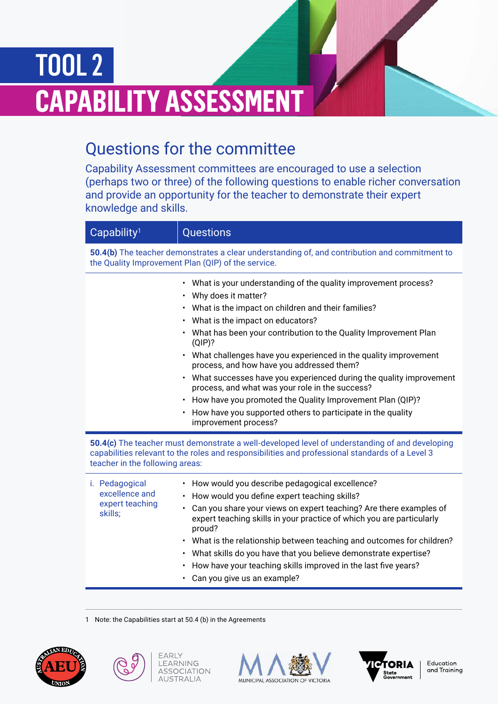## TOOL 2 **CAPABILITY ASSESSMENT**

## Questions for the committee

Capability Assessment committees are encouraged to use a selection (perhaps two or three) of the following questions to enable richer conversation and provide an opportunity for the teacher to demonstrate their expert knowledge and skills.

| Capability <sup>1</sup>                                                                                                                                                                                                              | <b>Questions</b>                                                                                                                                                                                                                                                                                                                                                                                                                                                                                                                                                                                                                                                                                                                |  |
|--------------------------------------------------------------------------------------------------------------------------------------------------------------------------------------------------------------------------------------|---------------------------------------------------------------------------------------------------------------------------------------------------------------------------------------------------------------------------------------------------------------------------------------------------------------------------------------------------------------------------------------------------------------------------------------------------------------------------------------------------------------------------------------------------------------------------------------------------------------------------------------------------------------------------------------------------------------------------------|--|
| 50.4(b) The teacher demonstrates a clear understanding of, and contribution and commitment to<br>the Quality Improvement Plan (QIP) of the service.                                                                                  |                                                                                                                                                                                                                                                                                                                                                                                                                                                                                                                                                                                                                                                                                                                                 |  |
|                                                                                                                                                                                                                                      | What is your understanding of the quality improvement process?<br>Why does it matter?<br>$\bullet$<br>What is the impact on children and their families?<br>What is the impact on educators?<br>٠<br>What has been your contribution to the Quality Improvement Plan<br>(QIP)?<br>What challenges have you experienced in the quality improvement<br>$\bullet$<br>process, and how have you addressed them?<br>What successes have you experienced during the quality improvement<br>$\bullet$<br>process, and what was your role in the success?<br>How have you promoted the Quality Improvement Plan (QIP)?<br>$\bullet$<br>How have you supported others to participate in the quality<br>$\bullet$<br>improvement process? |  |
| 50.4(c) The teacher must demonstrate a well-developed level of understanding of and developing<br>capabilities relevant to the roles and responsibilities and professional standards of a Level 3<br>teacher in the following areas: |                                                                                                                                                                                                                                                                                                                                                                                                                                                                                                                                                                                                                                                                                                                                 |  |
| i. Pedagogical<br>excellence and<br>expert teaching<br>skills;                                                                                                                                                                       | How would you describe pedagogical excellence?<br>$\bullet$<br>How would you define expert teaching skills?<br>$\bullet$<br>Can you share your views on expert teaching? Are there examples of<br>expert teaching skills in your practice of which you are particularly<br>proud?                                                                                                                                                                                                                                                                                                                                                                                                                                               |  |

- What is the relationship between teaching and outcomes for children?
- What skills do you have that you believe demonstrate expertise?
- How have your teaching skills improved in the last five years?
- Can you give us an example?

1 Note: the Capabilities start at 50.4 (b) in the Agreements









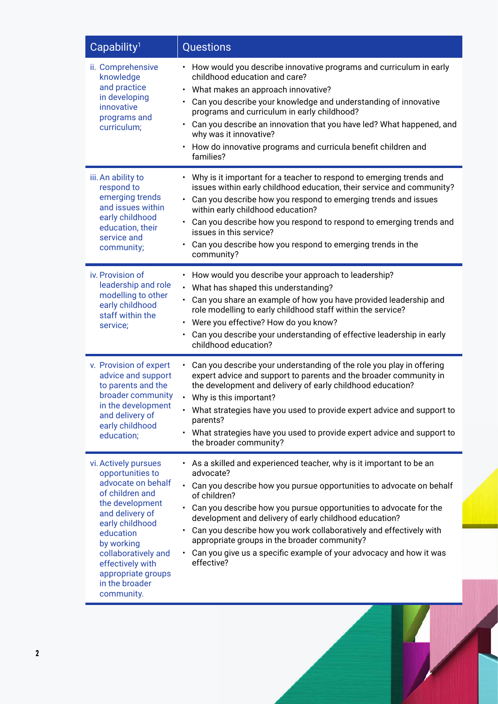| Capability <sup>1</sup>                                                                                                                                                                                                                                                | <b>Questions</b>                                                                                                                                                                                                                                                                                                                                                                                                                                                                                                      |
|------------------------------------------------------------------------------------------------------------------------------------------------------------------------------------------------------------------------------------------------------------------------|-----------------------------------------------------------------------------------------------------------------------------------------------------------------------------------------------------------------------------------------------------------------------------------------------------------------------------------------------------------------------------------------------------------------------------------------------------------------------------------------------------------------------|
| ii. Comprehensive<br>knowledge<br>and practice<br>in developing<br>innovative<br>programs and<br>curriculum;                                                                                                                                                           | • How would you describe innovative programs and curriculum in early<br>childhood education and care?<br>What makes an approach innovative?<br>Can you describe your knowledge and understanding of innovative<br>$\bullet$<br>programs and curriculum in early childhood?<br>Can you describe an innovation that you have led? What happened, and<br>why was it innovative?<br>• How do innovative programs and curricula benefit children and<br>families?                                                          |
| iii. An ability to<br>respond to<br>emerging trends<br>and issues within<br>early childhood<br>education, their<br>service and<br>community;                                                                                                                           | Why is it important for a teacher to respond to emerging trends and<br>issues within early childhood education, their service and community?<br>Can you describe how you respond to emerging trends and issues<br>$\bullet$<br>within early childhood education?<br>Can you describe how you respond to respond to emerging trends and<br>issues in this service?<br>Can you describe how you respond to emerging trends in the<br>community?                                                                         |
| iv. Provision of<br>leadership and role<br>modelling to other<br>early childhood<br>staff within the<br>service;                                                                                                                                                       | How would you describe your approach to leadership?<br>• What has shaped this understanding?<br>Can you share an example of how you have provided leadership and<br>$\bullet$<br>role modelling to early childhood staff within the service?<br>Were you effective? How do you know?<br>Can you describe your understanding of effective leadership in early<br>childhood education?                                                                                                                                  |
| v. Provision of expert<br>advice and support<br>to parents and the<br>broader community<br>in the development<br>and delivery of<br>early childhood<br>education;                                                                                                      | Can you describe your understanding of the role you play in offering<br>expert advice and support to parents and the broader community in<br>the development and delivery of early childhood education?<br>• Why is this important?<br>What strategies have you used to provide expert advice and support to<br>parents?<br>What strategies have you used to provide expert advice and support to<br>the broader community?                                                                                           |
| vi. Actively pursues<br>opportunities to<br>advocate on behalf<br>of children and<br>the development<br>and delivery of<br>early childhood<br>education<br>by working<br>collaboratively and<br>effectively with<br>appropriate groups<br>in the broader<br>community. | • As a skilled and experienced teacher, why is it important to be an<br>advocate?<br>• Can you describe how you pursue opportunities to advocate on behalf<br>of children?<br>• Can you describe how you pursue opportunities to advocate for the<br>development and delivery of early childhood education?<br>Can you describe how you work collaboratively and effectively with<br>appropriate groups in the broader community?<br>Can you give us a specific example of your advocacy and how it was<br>effective? |